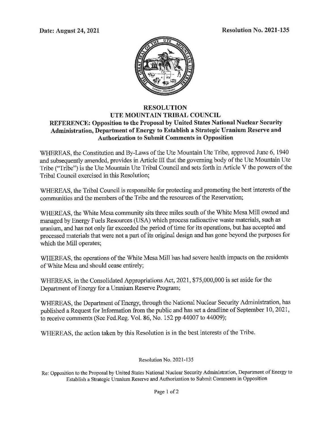**Date: August 24, 2021 Resolution No. 2021-135** 



## **RESOLUTION UTE MOUNTAIN TRIBAL COUNCIL REFERENCE: Opposition to the Proposal by United States National Nuclear Security Administration, Department of Energy to Establish a Strategic Uranium Reserve and Authorization to Submit Comments in Opposition**

WHEREAS, the Constitution and By-Laws of the Ute Mountain Ute Tribe, approved June 6, 1940 and subsequently amended, provides in Article III that the governing body of the Ute Mountain Ute Tribe ("Tribe") is the Ute Mountain Ute Tribal Council and sets forth in Article V the powers of the Tribal Council exercised in this Resolution;

WHEREAS, the Tribal Council is responsible for protecting and promoting the best interests of the communities and the members of the Tribe and the resources of the Reservation;

WHEREAS, the White Mesa community sits three miles south of the White Mesa Mill owned and managed by Energy Fuels Resources (USA) which process radioactive waste materials, such as uranium, and has not only far exceeded the period of time for its operations, but has accepted and processed materials that were not a part of its original design and has gone beyond the purposes for which the Mill operates;

WHEREAS, the operations of the White Mesa Mill has had severe health impacts on the residents of White Mesa and should cease entirely;

WHEREAS, in the Consolidated Appropriations Act, 2021, \$75,000,000 is set aside for the Department of Energy for a Uranium Reserve Program;

WHEREAS, the Department of Energy, through the National Nuclear Security Administration, has published a Request for Information from the public and has set a deadline of September 10, 2021, to receive comments (See Fed.Reg. Vol. 86, No. 152 pp 44007 to 44009);

WHEREAS, the action taken by this Resolution is in the best interests of the Tribe.

Resolution No. 2021-135

Re: Opposition to the Proposal by United States National Nuclear Security Administration, Department of Energy to Establish a Strategic Uranium Reserve and Authorization to Submit Comments in Opposition